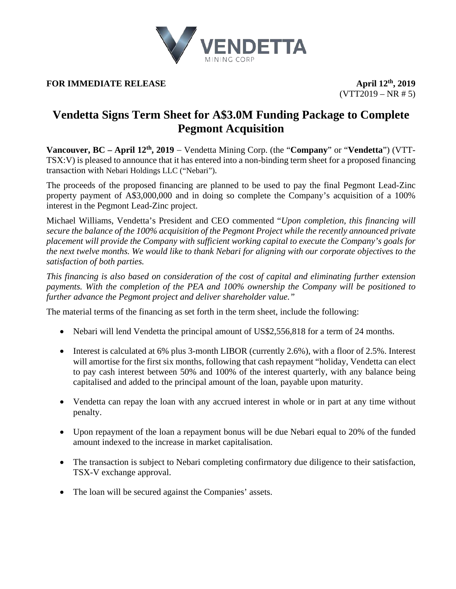

**FOR IMMEDIATE RELEASE April**  $12^{\text{th}}$ , 2019

 $(VTT2019 - NR # 5)$ 

# **Vendetta Signs Term Sheet for A\$3.0M Funding Package to Complete Pegmont Acquisition**

**Vancouver, BC – April 12th, 2019** − Vendetta Mining Corp. (the "**Company**" or "**Vendetta**") (VTT-TSX:V) is pleased to announce that it has entered into a non-binding term sheet for a proposed financing transaction with Nebari Holdings LLC ("Nebari").

The proceeds of the proposed financing are planned to be used to pay the final Pegmont Lead-Zinc property payment of A\$3,000,000 and in doing so complete the Company's acquisition of a 100% interest in the Pegmont Lead-Zinc project.

Michael Williams, Vendetta's President and CEO commented "*Upon completion, this financing will secure the balance of the 100% acquisition of the Pegmont Project while the recently announced private placement will provide the Company with sufficient working capital to execute the Company's goals for the next twelve months. We would like to thank Nebari for aligning with our corporate objectives to the satisfaction of both parties.*

*This financing is also based on consideration of the cost of capital and eliminating further extension payments. With the completion of the PEA and 100% ownership the Company will be positioned to further advance the Pegmont project and deliver shareholder value."*

The material terms of the financing as set forth in the term sheet, include the following:

- Nebari will lend Vendetta the principal amount of US\$2,556,818 for a term of 24 months.
- Interest is calculated at 6% plus 3-month LIBOR (currently 2.6%), with a floor of 2.5%. Interest will amortise for the first six months, following that cash repayment "holiday, Vendetta can elect to pay cash interest between 50% and 100% of the interest quarterly, with any balance being capitalised and added to the principal amount of the loan, payable upon maturity.
- Vendetta can repay the loan with any accrued interest in whole or in part at any time without penalty.
- Upon repayment of the loan a repayment bonus will be due Nebari equal to 20% of the funded amount indexed to the increase in market capitalisation.
- The transaction is subject to Nebari completing confirmatory due diligence to their satisfaction, TSX-V exchange approval.
- The loan will be secured against the Companies' assets.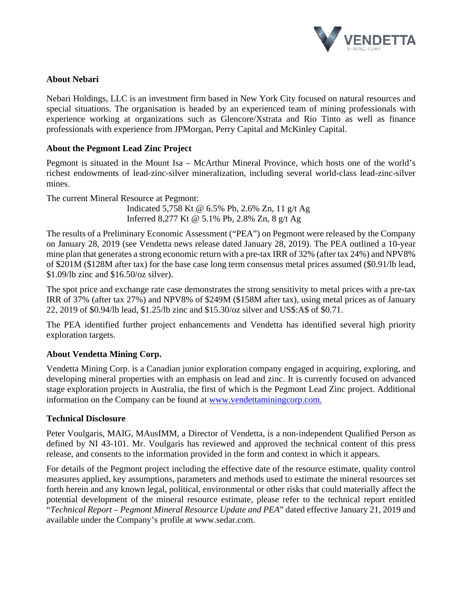

## **About Nebari**

Nebari Holdings, LLC is an investment firm based in New York City focused on natural resources and special situations. The organisation is headed by an experienced team of mining professionals with experience working at organizations such as Glencore/Xstrata and Rio Tinto as well as finance professionals with experience from JPMorgan, Perry Capital and McKinley Capital.

## **About the Pegmont Lead Zinc Project**

Pegmont is situated in the Mount Isa – McArthur Mineral Province, which hosts one of the world's richest endowments of lead-zinc-silver mineralization, including several world-class lead-zinc-silver mines.

The current Mineral Resource at Pegmont: Indicated 5,758 Kt @ 6.5% Pb, 2.6% Zn, 11 g/t Ag Inferred 8,277 Kt @ 5.1% Pb, 2.8% Zn, 8 g/t Ag

The results of a Preliminary Economic Assessment ("PEA") on Pegmont were released by the Company on January 28, 2019 (see Vendetta news release dated January 28, 2019). The PEA outlined a 10-year mine plan that generates a strong economic return with a pre-tax IRR of 32% (after tax 24%) and NPV8% of \$201M (\$128M after tax) for the base case long term consensus metal prices assumed (\$0.91/lb lead, \$1.09/lb zinc and \$16.50/oz silver).

The spot price and exchange rate case demonstrates the strong sensitivity to metal prices with a pre-tax IRR of 37% (after tax 27%) and NPV8% of \$249M (\$158M after tax), using metal prices as of January 22, 2019 of \$0.94/lb lead, \$1.25/lb zinc and \$15.30/oz silver and US\$:A\$ of \$0.71.

The PEA identified further project enhancements and Vendetta has identified several high priority exploration targets.

# **About Vendetta Mining Corp.**

Vendetta Mining Corp. is a Canadian junior exploration company engaged in acquiring, exploring, and developing mineral properties with an emphasis on lead and zinc. It is currently focused on advanced stage exploration projects in Australia, the first of which is the Pegmont Lead Zinc project. Additional information on the Company can be found at [www.vendettaminingcorp.com.](http://www.vendettaminingcorp.com/)

#### **Technical Disclosure**

Peter Voulgaris, MAIG, MAusIMM, a Director of Vendetta, is a non-independent Qualified Person as defined by NI 43-101. Mr. Voulgaris has reviewed and approved the technical content of this press release, and consents to the information provided in the form and context in which it appears.

For details of the Pegmont project including the effective date of the resource estimate, quality control measures applied, key assumptions, parameters and methods used to estimate the mineral resources set forth herein and any known legal, political, environmental or other risks that could materially affect the potential development of the mineral resource estimate, please refer to the technical report entitled "*Technical Report – Pegmont Mineral Resource Update and PEA*" dated effective January 21, 2019 and available under the Company's profile at www.sedar.com.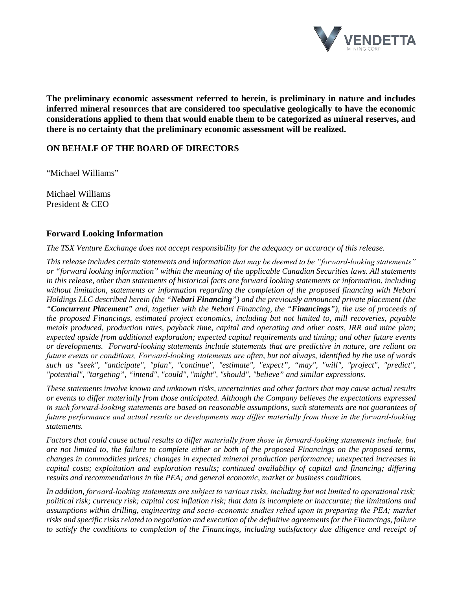

**The preliminary economic assessment referred to herein, is preliminary in nature and includes inferred mineral resources that are considered too speculative geologically to have the economic considerations applied to them that would enable them to be categorized as mineral reserves, and there is no certainty that the preliminary economic assessment will be realized.**

## **ON BEHALF OF THE BOARD OF DIRECTORS**

"Michael Williams"

Michael Williams President & CEO

#### **Forward Looking Information**

*The TSX Venture Exchange does not accept responsibility for the adequacy or accuracy of this release.*

*This release includes certain statements and information that may be deemed to be "forward‐looking statements" or "forward looking information" within the meaning of the applicable Canadian Securities laws. All statements in this release, other than statements of historical facts are forward looking statements or information, including without limitation, statements or information regarding the completion of the proposed financing with Nebari Holdings LLC described herein (the "Nebari Financing") and the previously announced private placement (the "Concurrent Placement" and, together with the Nebari Financing, the "Financings"), the use of proceeds of the proposed Financings, estimated project economics, including but not limited to, mill recoveries, payable metals produced, production rates, payback time, capital and operating and other costs, IRR and mine plan; expected upside from additional exploration; expected capital requirements and timing; and other future events or developments. Forward-looking statements include statements that are predictive in nature, are reliant on future events or conditions, Forward‐looking statements are often, but not always, identified by the use of words such as "seek", "anticipate", "plan", "continue", "estimate", "expect", "may", "will", "project", "predict", "potential", "targeting", "intend", "could", "might", "should", "believe" and similar expressions.*

*These statements involve known and unknown risks, uncertainties and other factors that may cause actual results or events to differ materially from those anticipated. Although the Company believes the expectations expressed in such forward‐looking statements are based on reasonable assumptions, such statements are not guarantees of future performance and actual results or developments may differ materially from those in the forward‐looking statements.* 

*Factors that could cause actual results to differ materially from those in forward‐looking statements include, but are not limited to, the failure to complete either or both of the proposed Financings on the proposed terms, changes in commodities prices; changes in expected mineral production performance; unexpected increases in capital costs; exploitation and exploration results; continued availability of capital and financing; differing results and recommendations in the PEA; and general economic, market or business conditions.* 

*In addition, forward‐looking statements are subject to various risks, including but not limited to operational risk; political risk; currency risk; capital cost inflation risk; that data is incomplete or inaccurate; the limitations and assumptions within drilling, engineering and socio‐economic studies relied upon in preparing the PEA; market risks and specific risks related to negotiation and execution of the definitive agreements for the Financings, failure to satisfy the conditions to completion of the Financings, including satisfactory due diligence and receipt of*